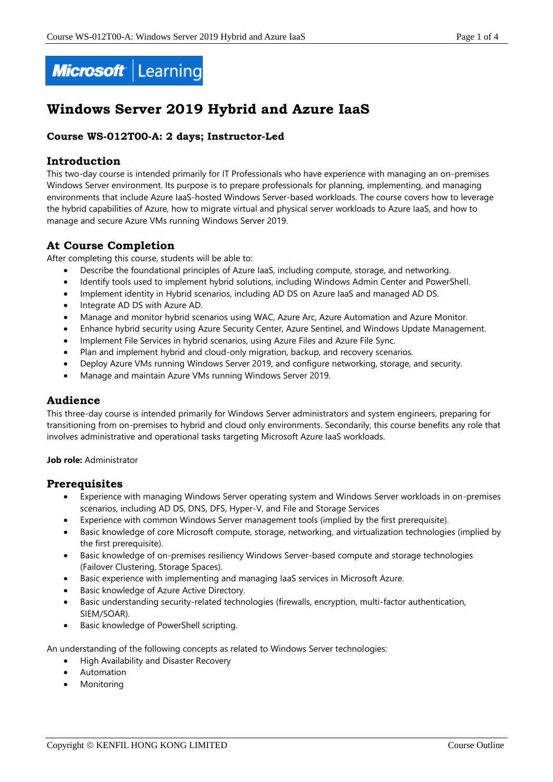

# **Windows Server 2019 Hybrid and Azure IaaS**

## **Course WS-012T00-A: 2 days; Instructor-Led**

## **Introduction**

This two-day course is intended primarily for IT Professionals who have experience with managing an on-premises Windows Server environment. Its purpose is to prepare professionals for planning, implementing, and managing environments that include Azure IaaS-hosted Windows Server-based workloads. The course covers how to leverage the hybrid capabilities of Azure, how to migrate virtual and physical server workloads to Azure IaaS, and how to manage and secure Azure VMs running Windows Server 2019.

## **At Course Completion**

After completing this course, students will be able to:

- Describe the foundational principles of Azure IaaS, including compute, storage, and networking.
- Identify tools used to implement hybrid solutions, including Windows Admin Center and PowerShell.
- Implement identity in Hybrid scenarios, including AD DS on Azure IaaS and managed AD DS.
- Integrate AD DS with Azure AD.
- Manage and monitor hybrid scenarios using WAC, Azure Arc, Azure Automation and Azure Monitor.
- Enhance hybrid security using Azure Security Center, Azure Sentinel, and Windows Update Management.
- Implement File Services in hybrid scenarios, using Azure Files and Azure File Sync.
- Plan and implement hybrid and cloud-only migration, backup, and recovery scenarios.
- Deploy Azure VMs running Windows Server 2019, and configure networking, storage, and security.
- Manage and maintain Azure VMs running Windows Server 2019.

## **Audience**

This three-day course is intended primarily for Windows Server administrators and system engineers, preparing for transitioning from on-premises to hybrid and cloud only environments. Secondarily, this course benefits any role that involves administrative and operational tasks targeting Microsoft Azure IaaS workloads.

#### **Job role:** Administrator

#### **Prerequisites**

- Experience with managing Windows Server operating system and Windows Server workloads in on-premises scenarios, including AD DS, DNS, DFS, Hyper-V, and File and Storage Services
- Experience with common Windows Server management tools (implied by the first prerequisite).
- Basic knowledge of core Microsoft compute, storage, networking, and virtualization technologies (implied by the first prerequisite).
- Basic knowledge of on-premises resiliency Windows Server-based compute and storage technologies (Failover Clustering, Storage Spaces).
- Basic experience with implementing and managing IaaS services in Microsoft Azure.
- Basic knowledge of Azure Active Directory.
- Basic understanding security-related technologies (firewalls, encryption, multi-factor authentication, SIEM/SOAR).
- Basic knowledge of PowerShell scripting.

An understanding of the following concepts as related to Windows Server technologies:

- High Availability and Disaster Recovery
- Automation
- Monitoring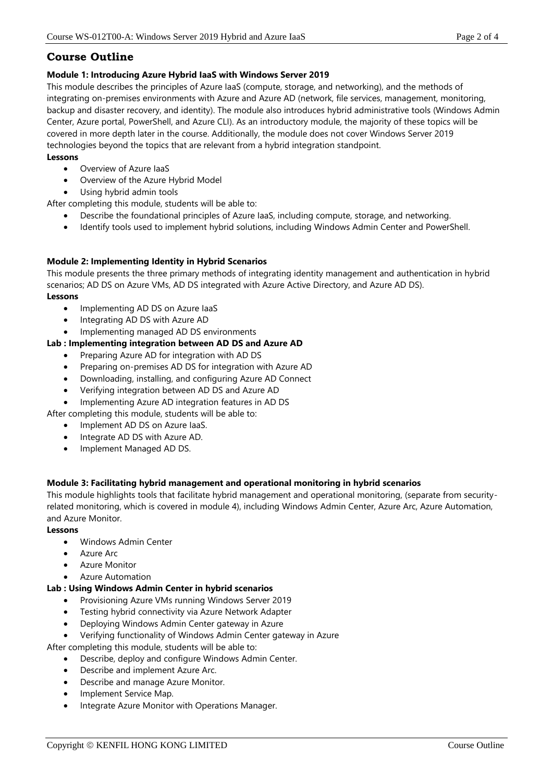# **Course Outline**

#### **Module 1: Introducing Azure Hybrid IaaS with Windows Server 2019**

This module describes the principles of Azure IaaS (compute, storage, and networking), and the methods of integrating on-premises environments with Azure and Azure AD (network, file services, management, monitoring, backup and disaster recovery, and identity). The module also introduces hybrid administrative tools (Windows Admin Center, Azure portal, PowerShell, and Azure CLI). As an introductory module, the majority of these topics will be covered in more depth later in the course. Additionally, the module does not cover Windows Server 2019 technologies beyond the topics that are relevant from a hybrid integration standpoint.

#### **Lessons**

- Overview of Azure IaaS
- Overview of the Azure Hybrid Model
- Using hybrid admin tools

After completing this module, students will be able to:

- Describe the foundational principles of Azure IaaS, including compute, storage, and networking.
- Identify tools used to implement hybrid solutions, including Windows Admin Center and PowerShell.

## **Module 2: Implementing Identity in Hybrid Scenarios**

This module presents the three primary methods of integrating identity management and authentication in hybrid scenarios; AD DS on Azure VMs, AD DS integrated with Azure Active Directory, and Azure AD DS). **Lessons**

- Implementing AD DS on Azure laaS
- Integrating AD DS with Azure AD
- Implementing managed AD DS environments

## **Lab : Implementing integration between AD DS and Azure AD**

- Preparing Azure AD for integration with AD DS
- Preparing on-premises AD DS for integration with Azure AD
- Downloading, installing, and configuring Azure AD Connect
- Verifying integration between AD DS and Azure AD
- Implementing Azure AD integration features in AD DS

After completing this module, students will be able to:

- Implement AD DS on Azure IaaS.
- Integrate AD DS with Azure AD.
- Implement Managed AD DS.

#### **Module 3: Facilitating hybrid management and operational monitoring in hybrid scenarios**

This module highlights tools that facilitate hybrid management and operational monitoring, (separate from securityrelated monitoring, which is covered in module 4), including Windows Admin Center, Azure Arc, Azure Automation, and Azure Monitor.

#### **Lessons**

- Windows Admin Center
- Azure Arc
- Azure Monitor
- Azure Automation

#### **Lab : Using Windows Admin Center in hybrid scenarios**

- Provisioning Azure VMs running Windows Server 2019
- Testing hybrid connectivity via Azure Network Adapter
- Deploying Windows Admin Center gateway in Azure
- Verifying functionality of Windows Admin Center gateway in Azure

After completing this module, students will be able to:

- Describe, deploy and configure Windows Admin Center.
- Describe and implement Azure Arc.
- Describe and manage Azure Monitor.
- Implement Service Map.
- Integrate Azure Monitor with Operations Manager.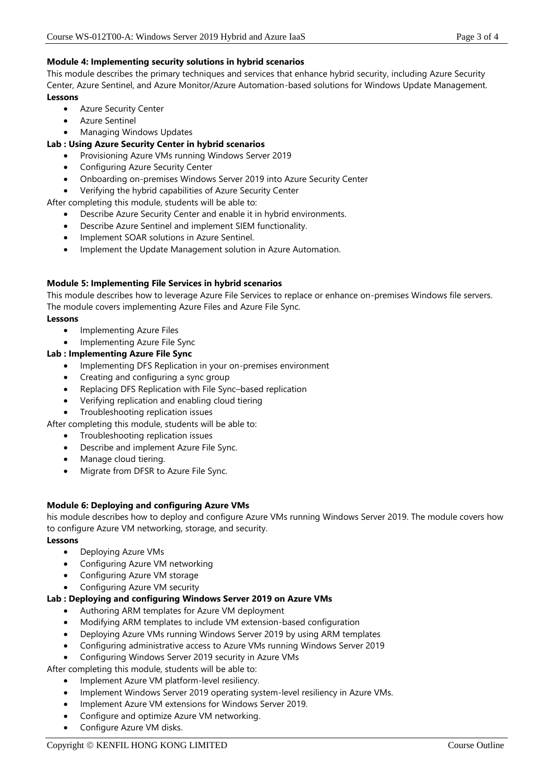## **Module 4: Implementing security solutions in hybrid scenarios**

This module describes the primary techniques and services that enhance hybrid security, including Azure Security Center, Azure Sentinel, and Azure Monitor/Azure Automation-based solutions for Windows Update Management. **Lessons**

- Azure Security Center
- Azure Sentinel
- Managing Windows Updates

## **Lab : Using Azure Security Center in hybrid scenarios**

- Provisioning Azure VMs running Windows Server 2019
	- Configuring Azure Security Center
	- Onboarding on-premises Windows Server 2019 into Azure Security Center
	- Verifying the hybrid capabilities of Azure Security Center

After completing this module, students will be able to:

- Describe Azure Security Center and enable it in hybrid environments.
- Describe Azure Sentinel and implement SIEM functionality.
- Implement SOAR solutions in Azure Sentinel.
- Implement the Update Management solution in Azure Automation.

## **Module 5: Implementing File Services in hybrid scenarios**

This module describes how to leverage Azure File Services to replace or enhance on-premises Windows file servers. The module covers implementing Azure Files and Azure File Sync.

#### **Lessons**

- Implementing Azure Files
- Implementing Azure File Sync

## **Lab : Implementing Azure File Sync**

- Implementing DFS Replication in your on-premises environment
- Creating and configuring a sync group
- Replacing DFS Replication with File Sync–based replication
- Verifying replication and enabling cloud tiering
- Troubleshooting replication issues
- After completing this module, students will be able to:
	- Troubleshooting replication issues
	- Describe and implement Azure File Sync.
	- Manage cloud tiering.
	- Migrate from DFSR to Azure File Sync.

#### **Module 6: Deploying and configuring Azure VMs**

his module describes how to deploy and configure Azure VMs running Windows Server 2019. The module covers how to configure Azure VM networking, storage, and security.

#### **Lessons**

- Deploying Azure VMs
- Configuring Azure VM networking
- Configuring Azure VM storage
- Configuring Azure VM security

#### **Lab : Deploying and configuring Windows Server 2019 on Azure VMs**

- Authoring ARM templates for Azure VM deployment
- Modifying ARM templates to include VM extension-based configuration
- Deploying Azure VMs running Windows Server 2019 by using ARM templates
- Configuring administrative access to Azure VMs running Windows Server 2019
- Configuring Windows Server 2019 security in Azure VMs

After completing this module, students will be able to:

- Implement Azure VM platform-level resiliency.
- Implement Windows Server 2019 operating system-level resiliency in Azure VMs.
- Implement Azure VM extensions for Windows Server 2019.
- Configure and optimize Azure VM networking.
- Configure Azure VM disks.